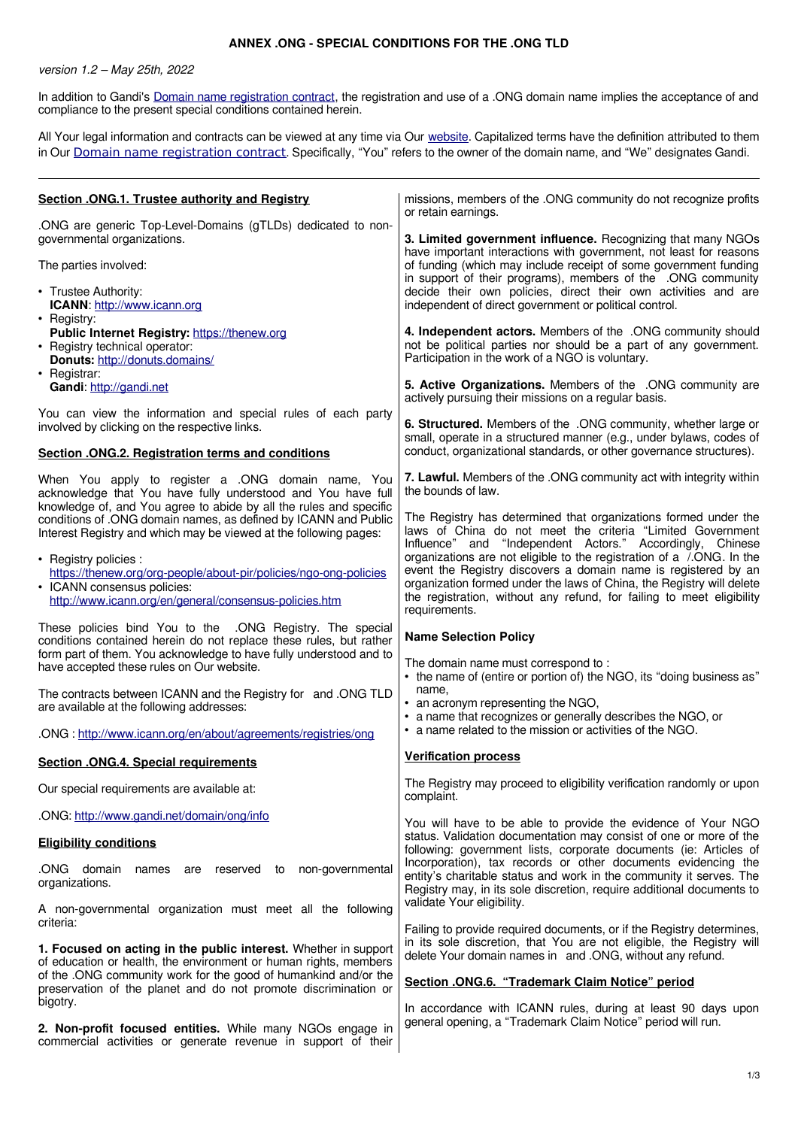## **ANNEX .ONG - SPECIAL CONDITIONS FOR THE .ONG TLD**

version 1.2 – May 25th, 2022

In addition to Gandi's [Domain name registration contract](https://www.gandi.net/en/contracts/terms-of-service), the registration and use of a .ONG domain name implies the acceptance of and compliance to the present special conditions contained herein.

All Your legal information and contracts can be viewed at any time via Our [website.](http://www.gandi.net/) Capitalized terms have the definition attributed to them in Our [Domain name registration contract](https://www.gandi.net/en/contracts/terms-of-service). Specifically, "You" refers to the owner of the domain name, and "We" designates Gandi.

| Section . ONG.1. Trustee authority and Registry                                                                                                                                                                                                    | missions, members of the .ONG community do not recognize profits<br>or retain earnings.                                                                                                                                                                                                                    |
|----------------------------------------------------------------------------------------------------------------------------------------------------------------------------------------------------------------------------------------------------|------------------------------------------------------------------------------------------------------------------------------------------------------------------------------------------------------------------------------------------------------------------------------------------------------------|
| .ONG are generic Top-Level-Domains (gTLDs) dedicated to non-<br>governmental organizations.<br>The parties involved:                                                                                                                               | 3. Limited government influence. Recognizing that many NGOs<br>have important interactions with government, not least for reasons<br>of funding (which may include receipt of some government funding                                                                                                      |
| • Trustee Authority:<br>ICANN: http://www.icann.org                                                                                                                                                                                                | in support of their programs), members of the .ONG community<br>decide their own policies, direct their own activities and are<br>independent of direct government or political control.                                                                                                                   |
| • Registry:<br>Public Internet Registry: https://thenew.org<br>• Registry technical operator:<br>Donuts: http://donuts.domains/                                                                                                                    | 4. Independent actors. Members of the .ONG community should<br>not be political parties nor should be a part of any government.<br>Participation in the work of a NGO is voluntary.                                                                                                                        |
| • Registrar:<br>Gandi: http://gandi.net                                                                                                                                                                                                            | 5. Active Organizations. Members of the .ONG community are<br>actively pursuing their missions on a regular basis.                                                                                                                                                                                         |
| You can view the information and special rules of each party<br>involved by clicking on the respective links.                                                                                                                                      | 6. Structured. Members of the .ONG community, whether large or<br>small, operate in a structured manner (e.g., under bylaws, codes of                                                                                                                                                                      |
| <b>Section .ONG.2. Registration terms and conditions</b>                                                                                                                                                                                           | conduct, organizational standards, or other governance structures).                                                                                                                                                                                                                                        |
| When You apply to register a .ONG domain name, You<br>acknowledge that You have fully understood and You have full<br>knowledge of, and You agree to abide by all the rules and specific                                                           | 7. Lawful. Members of the .ONG community act with integrity within<br>the bounds of law.                                                                                                                                                                                                                   |
| conditions of .ONG domain names, as defined by ICANN and Public<br>Interest Registry and which may be viewed at the following pages:                                                                                                               | The Registry has determined that organizations formed under the<br>laws of China do not meet the criteria "Limited Government<br>Influence" and "Independent Actors." Accordingly, Chinese                                                                                                                 |
| • Registry policies :<br>https://thenew.org/org-people/about-pir/policies/ngo-ong-policies<br>• ICANN consensus policies:<br>http://www.icann.org/en/general/consensus-policies.htm                                                                | organizations are not eligible to the registration of a /.ONG. In the<br>event the Registry discovers a domain name is registered by an<br>organization formed under the laws of China, the Registry will delete<br>the registration, without any refund, for failing to meet eligibility<br>requirements. |
| These policies bind You to the .ONG Registry. The special<br>conditions contained herein do not replace these rules, but rather<br>form part of them. You acknowledge to have fully understood and to<br>have accepted these rules on Our website. | <b>Name Selection Policy</b><br>The domain name must correspond to:                                                                                                                                                                                                                                        |
| The contracts between ICANN and the Registry for and .ONG TLD<br>are available at the following addresses:                                                                                                                                         | • the name of (entire or portion of) the NGO, its "doing business as"<br>name,<br>• an acronym representing the NGO,<br>• a name that recognizes or generally describes the NGO, or                                                                                                                        |
| .ONG: http://www.icann.org/en/about/agreements/registries/ong                                                                                                                                                                                      | • a name related to the mission or activities of the NGO.                                                                                                                                                                                                                                                  |
| <b>Section .ONG.4. Special requirements</b>                                                                                                                                                                                                        | <b>Verification process</b>                                                                                                                                                                                                                                                                                |
| Our special requirements are available at:                                                                                                                                                                                                         | The Registry may proceed to eligibility verification randomly or upon<br>complaint.                                                                                                                                                                                                                        |
| .ONG: http://www.gandi.net/domain/ong/info                                                                                                                                                                                                         | You will have to be able to provide the evidence of Your NGO                                                                                                                                                                                                                                               |
| <b>Eligibility conditions</b>                                                                                                                                                                                                                      | status. Validation documentation may consist of one or more of the<br>following: government lists, corporate documents (ie: Articles of                                                                                                                                                                    |
| .ONG domain<br>names are reserved to non-governmental<br>organizations.                                                                                                                                                                            | Incorporation), tax records or other documents evidencing the<br>entity's charitable status and work in the community it serves. The<br>Registry may, in its sole discretion, require additional documents to                                                                                              |
| A non-governmental organization must meet all the following<br>criteria:                                                                                                                                                                           | validate Your eligibility.<br>Failing to provide required documents, or if the Registry determines,                                                                                                                                                                                                        |
| 1. Focused on acting in the public interest. Whether in support<br>of education or health, the environment or human rights, members                                                                                                                | in its sole discretion, that You are not eligible, the Registry will<br>delete Your domain names in and .ONG, without any refund.                                                                                                                                                                          |
| of the .ONG community work for the good of humankind and/or the<br>preservation of the planet and do not promote discrimination or<br>bigotry.                                                                                                     | Section .ONG.6. "Trademark Claim Notice" period<br>In accordance with ICANN rules, during at least 90 days upon                                                                                                                                                                                            |
| 2. Non-profit focused entities. While many NGOs engage in<br>commercial activities or generate revenue in support of their                                                                                                                         | general opening, a "Trademark Claim Notice" period will run.                                                                                                                                                                                                                                               |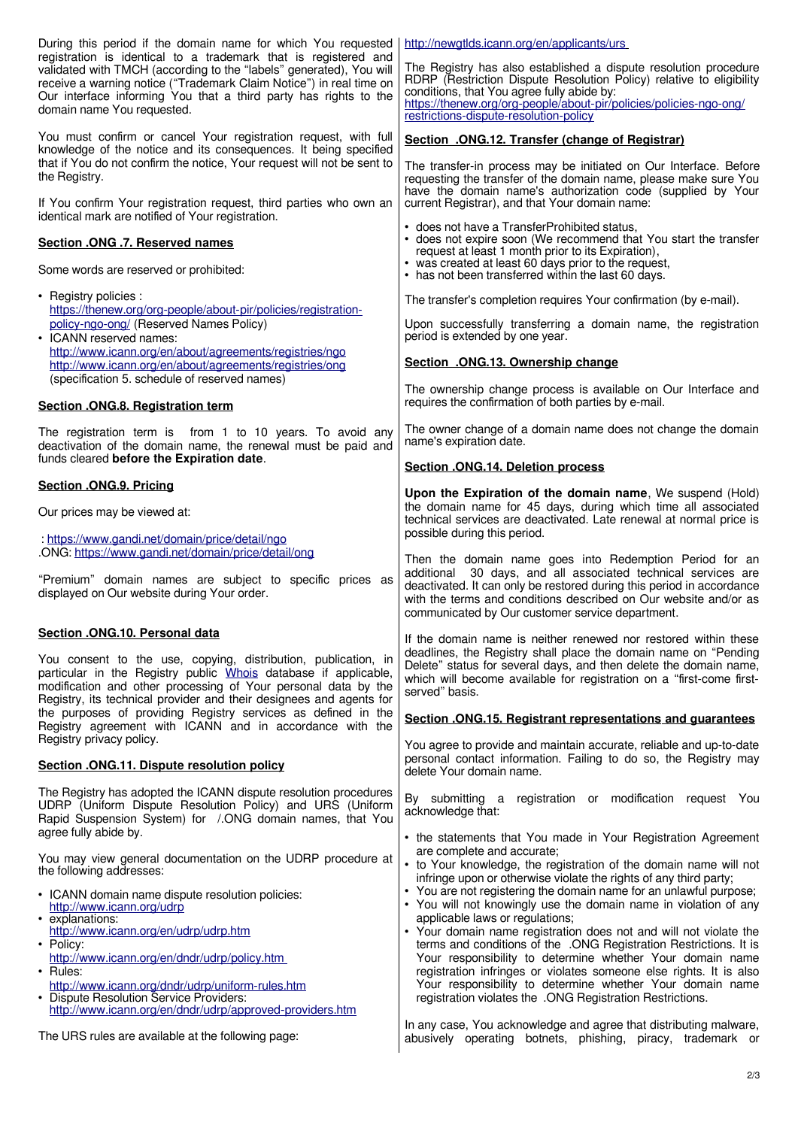| During this period if the domain name for which You requested<br>registration is identical to a trademark that is registered and                                                                                                                                                                                                                                              | http://newgtlds.icann.org/en/applicants/urs                                                                                                                                                                                                                                                                                                                                                                                                                                                                                                                                                                                                                                                                                |
|-------------------------------------------------------------------------------------------------------------------------------------------------------------------------------------------------------------------------------------------------------------------------------------------------------------------------------------------------------------------------------|----------------------------------------------------------------------------------------------------------------------------------------------------------------------------------------------------------------------------------------------------------------------------------------------------------------------------------------------------------------------------------------------------------------------------------------------------------------------------------------------------------------------------------------------------------------------------------------------------------------------------------------------------------------------------------------------------------------------------|
| validated with TMCH (according to the "labels" generated), You will<br>receive a warning notice ("Trademark Claim Notice") in real time on<br>Our interface informing You that a third party has rights to the<br>domain name You requested.                                                                                                                                  | The Registry has also established a dispute resolution procedure<br>RDRP (Restriction Dispute Resolution Policy) relative to eligibility<br>conditions, that You agree fully abide by:<br>https://thenew.org/org-people/about-pir/policies/policies-ngo-ong/<br>restrictions-dispute-resolution-policy                                                                                                                                                                                                                                                                                                                                                                                                                     |
| You must confirm or cancel Your registration request, with full<br>knowledge of the notice and its consequences. It being specified                                                                                                                                                                                                                                           | Section .ONG.12. Transfer (change of Registrar)                                                                                                                                                                                                                                                                                                                                                                                                                                                                                                                                                                                                                                                                            |
| that if You do not confirm the notice, Your request will not be sent to<br>the Registry.<br>If You confirm Your registration request, third parties who own an                                                                                                                                                                                                                | The transfer-in process may be initiated on Our Interface. Before<br>requesting the transfer of the domain name, please make sure You<br>have the domain name's authorization code (supplied by Your<br>current Registrar), and that Your domain name:                                                                                                                                                                                                                                                                                                                                                                                                                                                                     |
| identical mark are notified of Your registration.                                                                                                                                                                                                                                                                                                                             | • does not have a TransferProhibited status,                                                                                                                                                                                                                                                                                                                                                                                                                                                                                                                                                                                                                                                                               |
| Section .ONG .7. Reserved names<br>Some words are reserved or prohibited:                                                                                                                                                                                                                                                                                                     | • does not expire soon (We recommend that You start the transfer<br>request at least 1 month prior to its Expiration),<br>• was created at least 60 days prior to the request,<br>• has not been transferred within the last 60 days.                                                                                                                                                                                                                                                                                                                                                                                                                                                                                      |
| • Registry policies :                                                                                                                                                                                                                                                                                                                                                         | The transfer's completion requires Your confirmation (by e-mail).                                                                                                                                                                                                                                                                                                                                                                                                                                                                                                                                                                                                                                                          |
| https://thenew.org/org-people/about-pir/policies/registration-<br>policy-ngo-ong/ (Reserved Names Policy)<br>• ICANN reserved names:                                                                                                                                                                                                                                          | Upon successfully transferring a domain name, the registration<br>period is extended by one year.                                                                                                                                                                                                                                                                                                                                                                                                                                                                                                                                                                                                                          |
| http://www.icann.org/en/about/agreements/registries/ngo<br>http://www.icann.org/en/about/agreements/registries/ong                                                                                                                                                                                                                                                            | Section .ONG.13. Ownership change                                                                                                                                                                                                                                                                                                                                                                                                                                                                                                                                                                                                                                                                                          |
| (specification 5. schedule of reserved names)<br>Section . ONG.8. Registration term                                                                                                                                                                                                                                                                                           | The ownership change process is available on Our Interface and<br>requires the confirmation of both parties by e-mail.                                                                                                                                                                                                                                                                                                                                                                                                                                                                                                                                                                                                     |
| The registration term is from 1 to 10 years. To avoid any<br>deactivation of the domain name, the renewal must be paid and<br>funds cleared before the Expiration date.                                                                                                                                                                                                       | The owner change of a domain name does not change the domain<br>name's expiration date.                                                                                                                                                                                                                                                                                                                                                                                                                                                                                                                                                                                                                                    |
| Section .ONG.9. Pricing                                                                                                                                                                                                                                                                                                                                                       | Section . ONG.14. Deletion process                                                                                                                                                                                                                                                                                                                                                                                                                                                                                                                                                                                                                                                                                         |
| Our prices may be viewed at:                                                                                                                                                                                                                                                                                                                                                  | Upon the Expiration of the domain name, We suspend (Hold)<br>the domain name for 45 days, during which time all associated<br>technical services are deactivated. Late renewal at normal price is                                                                                                                                                                                                                                                                                                                                                                                                                                                                                                                          |
| : https://www.gandi.net/domain/price/detail/ngo<br>.ONG: https://www.gandi.net/domain/price/detail/ong                                                                                                                                                                                                                                                                        | possible during this period.                                                                                                                                                                                                                                                                                                                                                                                                                                                                                                                                                                                                                                                                                               |
| "Premium" domain names are subject to specific prices as                                                                                                                                                                                                                                                                                                                      | Then the domain name goes into Redemption Period for an<br>additional 30 days, and all associated technical services are<br>deactivated. It can only be restored during this period in accordance                                                                                                                                                                                                                                                                                                                                                                                                                                                                                                                          |
| displayed on Our website during Your order.                                                                                                                                                                                                                                                                                                                                   | with the terms and conditions described on Our website and/or as<br>communicated by Our customer service department.                                                                                                                                                                                                                                                                                                                                                                                                                                                                                                                                                                                                       |
| Section .ONG.10. Personal data                                                                                                                                                                                                                                                                                                                                                | If the domain name is neither renewed nor restored within these                                                                                                                                                                                                                                                                                                                                                                                                                                                                                                                                                                                                                                                            |
| You consent to the use, copying, distribution, publication, in<br>particular in the Registry public Whois database if applicable,<br>modification and other processing of Your personal data by the<br>Registry, its technical provider and their designees and agents for                                                                                                    | deadlines, the Registry shall place the domain name on "Pending<br>Delete" status for several days, and then delete the domain name,<br>which will become available for registration on a "first-come first-<br>served" basis.                                                                                                                                                                                                                                                                                                                                                                                                                                                                                             |
| the purposes of providing Registry services as defined in the<br>Registry agreement with ICANN and in accordance with the                                                                                                                                                                                                                                                     | Section . ONG.15. Registrant representations and guarantees                                                                                                                                                                                                                                                                                                                                                                                                                                                                                                                                                                                                                                                                |
| Registry privacy policy.<br>Section .ONG.11. Dispute resolution policy                                                                                                                                                                                                                                                                                                        | You agree to provide and maintain accurate, reliable and up-to-date<br>personal contact information. Failing to do so, the Registry may<br>delete Your domain name.                                                                                                                                                                                                                                                                                                                                                                                                                                                                                                                                                        |
| The Registry has adopted the ICANN dispute resolution procedures<br>UDRP (Uniform Dispute Resolution Policy) and URS (Uniform<br>Rapid Suspension System) for / ONG domain names, that You<br>agree fully abide by.                                                                                                                                                           | By submitting a registration or modification request You<br>acknowledge that:                                                                                                                                                                                                                                                                                                                                                                                                                                                                                                                                                                                                                                              |
| You may view general documentation on the UDRP procedure at<br>the following addresses:                                                                                                                                                                                                                                                                                       | • the statements that You made in Your Registration Agreement<br>are complete and accurate;<br>• to Your knowledge, the registration of the domain name will not                                                                                                                                                                                                                                                                                                                                                                                                                                                                                                                                                           |
| • ICANN domain name dispute resolution policies:<br>http://www.icann.org/udrp<br>• explanations:<br>http://www.icann.org/en/udrp/udrp.htm<br>• Policy:<br>http://www.icann.org/en/dndr/udrp/policy.htm<br>• Rules:<br>http://www.icann.org/dndr/udrp/uniform-rules.htm<br>• Dispute Resolution Service Providers:<br>http://www.icann.org/en/dndr/udrp/approved-providers.htm | infringe upon or otherwise violate the rights of any third party;<br>• You are not registering the domain name for an unlawful purpose;<br>• You will not knowingly use the domain name in violation of any<br>applicable laws or regulations;<br>• Your domain name registration does not and will not violate the<br>terms and conditions of the .ONG Registration Restrictions. It is<br>Your responsibility to determine whether Your domain name<br>registration infringes or violates someone else rights. It is also<br>Your responsibility to determine whether Your domain name<br>registration violates the .ONG Registration Restrictions.<br>In any case, You acknowledge and agree that distributing malware, |